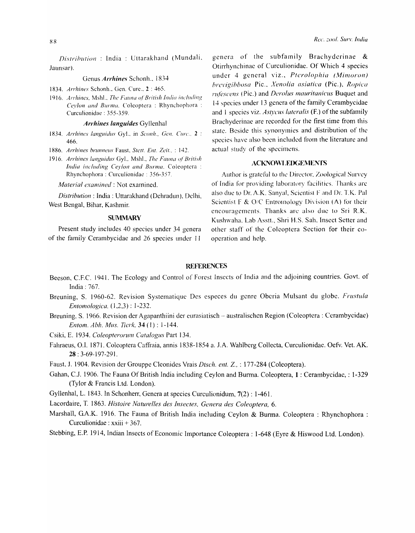### Genus *Archines* Schonh., 1834

1834. *Arrhines Schonh.. Gen. Cure.*, 2:465.

1916. *Arrhines, Mshl., The Fauna of British India including Ceylon and Burma, Coleoptera : Rhynchophora :* Curculionidae : 355-359,

### *Arrhines languides Gyllenhal*

- 1834. Arrhines languidus Gyl., in Sconh., Gen. Curc., 2 : 466.
- 1886. Arrhines brunneus Faust, Stett. Ent. Zeit., *:* 142.
- 1916. *Arrhines languidus* Gyl., Mshl., *The Fauna of British India including Ceylon and Burma, Coleoptera:* Rhynchophora : Curculionidac : 356-357.

*Material examined:* Not examined.

*Distribution:* India: Uttarakhand (Dehradun), Delhi, West Bengal, Bihar, Kashmir.

### **SUMMARY**

Present study includes 40 species under 34 genera of the family Cerambycidae and 26 species under 11 Rec. zool. Sury. *India* 

Otirrhynchinae of Curculionidae. Of Which 4 species under 4 general viz., Pterolophia (Mimoron) *hrc\'igibbosa* Pic .. *.. fenolia asiatica* (Pic.). *Ropica rufescens* (Pic.) and *Derolus mauritanicus* Buquet and 14 species under 13 genera of the family Cerambycidae and 1 species viz. *Astycus lateralis* (F.) of the subfamily Brachyderinae are recorded for the first time from this statc. Beside this synonymies and distribution of the species have also been included from the literature and actual study of the specimens.

### ACKNOWLEDGEMENTS

Author is grateful 10 the Director, Zoological Survey of India for providing laboratory facilities. Thanks are also due to Dr. A.K. Sanyal, Scientist F and Dr. T.K. Pal Scientist F & O/C Entromology Division (A) for their encouragements. Thanks are also due to Sri R.K. Kushwaha. Lab Asstt., Shri H.S. Sah. Insect Setter and other staff of the Coleoptera Section for their cooperation and help.

### **REFERENCES**

- Beeson, C.F.C. 1941. The Ecology and Control of Forest Insects of India and the adjoining countries. Govt. of India: 767.
- Breuning, S. 1960-62. Revision Systematique Des especes du genre Oberia Mulsant du globe. *Frustula Entomologica,* (1,2,3): 1-232.
- Breuning, S. 1966. Revision der Agapanthiini der eurasiatisch australischen Region (Coleoptera: Cerambycidae) *Elltom. Abh. Mus. Ticrk,* 34 (l) : 1-144.
- Csiki, E. 1934. Coleopterorum Catalogus Part 134.
- Fahraeus, O.I. 1871. Coleoptera Caffraia, annis 1838-1854 a. J.A. Wahlberg Collecta, Curculionidae. Oefv. Vet. AK. 28 : 3-69-197-291.
- Faust. J. 1904. Revision der Grouppe Cleonides Vrais *Dtsch. ent.* z., : 177-284 (Coleoptera).
- Gahan, C.J. 1906. The Fauna Of British India including Ceylon and Burma. Coleoptera, 1 : Cerambycidae, : 1-329 (Tylor & Francis Ltd. London).
- Gyllenhal, L. 1843. In Schonherr, Genera at species Curculionidum, 7(2) : 1-461.
- Lacordaire, T. 1863. *Histoire Naturelles des Insectes, Genera des Coleoptera, 6.*
- Marshall, GA.K. 1916. The Fauna of British India including Ceylon & Burma. Coleoptera : Rhynchophora : Curculionidae : xxiii + 367.

Stebbing, E.P. 1914, Indian Insects of Economic Importance Coleoptera: 1-648 (Eyre & Hiswood Ltd. London).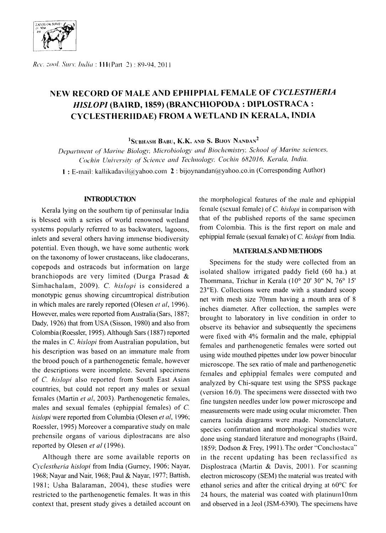

*Rec. zool. Surv. India:* **111**(Part 2): 89-94, 2011

# NEW RECORD OF MALE AND EPHIPPIAL FEMALE OF *CYCLESTHERIA HISLOPI* (BAIRD, 1859) (BRANCHIOPODA : DIPLOSTRACA : C\'CLESTHERIIDAE) FROM A WETLAND IN KERALA, INDIA

 $^1$ Subhash Babu, K.K. and S. Bijoy Nandan<sup>2</sup>

Department of Marine Biology, Microbiology and Biochemistry, School of Marine sciences, Cochin University of Science and Technology. Cochin 682016. Kerala, India.

1 : E-mail: kallikadavil@yahoo.com2:bijoynandan@yahoo.co.in (Corresponding Author)

# **INTRODUCTION**

Kerala lying on the southern tip of peninsular India is blessed with a series of world renowned wetland systems popularly referred to as backwaters, lagoons, inlets and several others having immense biodiversity potential. Even though, we have some authentic work on the taxonomy of lower crustaceans, like cladocerans, copepods and ostracods but information on large branchiopods are very limited (Durga Prasad & Simhachalam, 2009). C. *hislopi* is considered a monotypic genus showing circumtropical distribution in which males are rarely reported (Olesen *et* aI, 1996). However, males were reported from Australia (Sars, 1887; Dady, 1926) that from USA (Sisson, 1980) and also from Colombia (Roessler, 1995). Although Sars (1887) reported the males in C. *hislopi* from Australian population, but his description was based on an immature male from the brood pouch of a parthenogenetic female, however the descriptions were incomplete. Several specimens of C. *hislopi* also reported from South East Asian countries, but could not report any males or sexual females (Martin *et* aI, 2003). Parthenogenetic females, males and sexual females (ephippial females) of C. *hislopi* were reported from Columbia (Olesen *et ai,* 1996; Roessler, 1995) Moreover a comparative study on male prehensile organs of various diplostracans are also reported by Olesen *et al* (1996).

Although there are some available reports on *Cyclestheria hislopi* from India (Gurney, 1906; Nayar, 1968; Nayar and Nair, 1968; Paul & Nayar, 1977; Battish, 1981; Usha Balaraman, 2004), these studies were restricted to the parthenogenetic females. It was in this context that, present study gives a detailed account on the morphological features of the male and ephippial female (sexual female) of C. *hislopi* in comparison with that of the published reports of the same specimen from Colombia. This is the first report on male and ephippial female (sexual female) of C. *hislopi* from India.

### MATERIALS AND METHODS

Specimens for the study were collected from an isolated shallow irrigated paddy field (60 ha.) at Thommana, Trichur in Kerala *(10°* 20' 30" N, 76° 15' 23"E). Collections were made with a standard scoop net with mesh size 70mm having a mouth area of 8 inches diameter. After collection, the samples were brought to laboratory in live condition in order to observe its behavior and subsequently the specimens were fixed with 4% formalin and the male, ephippial females and parthenogenetic females were sorted out using wide mouthed pipettes under low power binocular microscope. The sex ratio of male and parthenogenetic females and ephippial females were computed and analyzed by Chi-square test using the SPSS package (version 16.0). The specimens were dissected with two fine tungsten needles under low power microscope and measurements were made using ocular micrometer. Then camera lucida diagrams were made. Nomenclature, species confirmation and morphological studies were done using standard literature and monographs (Baird, 1859; Dodson & Frey, 1991). The order "Conchostaca" in the recent updating has been reclassified as Displostraca (Martin & Davis, 2001). For scanning electron microscopy (SEM) the material was treated with ethanol series and after the critical drying at 60°C for 24 hours, the material was coated with platinum 10nm and observed in a Jeol (JSM-6390). The specimens have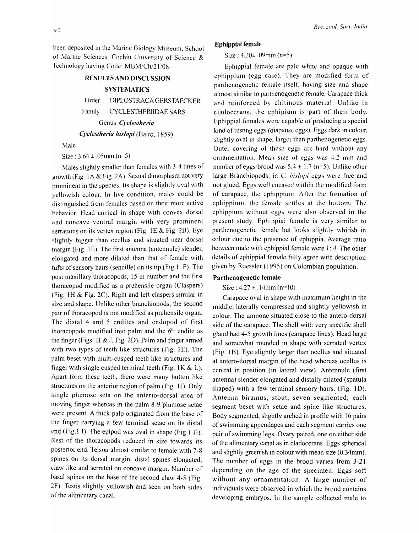been deposited in the Marine Biology Museum, School of Marine Sciences. Cochin University of Science  $\&$ Technology having Code: MBM/Ch/21/08.

# RESULTS AND DISCUSSION

# **SYSTEMATICS**

Order DIPLOSTRACA GERSTAECKER Family CYCLESTHERIIDAE SARS Genus *Cydestheria Cyclestheria hislopi* (Baird, 1859)

### Male

Size:  $3.64 \pm .05$ mm (n=5)

Males slightly smaller than females with 3-4 lines of growth (Fig. lA & Fig. 2A). Sexual dimorphism not very prominent in the species. Its shape is slightly oval with yellowish colour. In live condition, males could be distinguished from females based on their more active behavior. Head conical in shape with convex dorsal and concave ventral margin with very prominent serrations on its vertex region (Fig. 1E & Fig. 2B). Eye slightly bigger than ocellus and situated near dorsal margin (Fig. IE). The first antenna (antennule) slender, elongated and more dilated than that of female with tufts of sensory hairs (sencille) on its tip (Fig 1. F). The post maxillary thoracopods, 15 in number and the first thoracopod modified as a prehensile organ (Claspers) (Fig. 1H  $&$  Fig. 2C). Right and left claspers similar in size and shape. Unlike other branchiopods, the second pair of thoracopod is not modified as prehensile organ. The distal 4 and 5 endites and endopod of first thoracopods modified into palm and the  $6<sup>th</sup>$  endite as the finger (Figs. 1I & J, Fig. 2D). Palm and finger armed with two types of teeth like structures (Fig. 2E). The palm beset with multi-cusped teeth like structures and finger with single cusped terminal teeth (Fig. 1K  $&L$ ). Apart form these teeth, there were many button like structures on the anterior region of palm (Fig. 11). Only single plumose seta on the anterio-dorsal area of moving finger whereas in the palm 8-9 plumose setae were present. A thick palp originated from the base of the finger carrying a few terminal setae on its distal end (Fig.1 I). The epipod was oval in shape (Fig.1 H). Rest of the thoracopods reduced in size towards its posterior end. Telson almost similar to female with 7-8 spines on its dorsal margin, distal spines elongated, claw like and serrated on concave margin. Number of basal spines on the base of the second claw 4-5 (Fig. 2F). Testis slightly yellowish and seen on both sides of the alimentary canal.

## Ephippial female

## Size: *4.20±* .09nun (n=5)

Ephippial female are pale white and opaque with ephippium (egg case). They are modified form of parthenogenetic female itself, having size and shape almost similar to parthenogenetic female. Carapace thick and reinforced by chitinous material. Unlike in cladocerans, the ephipium is part of their body. Ephippial females were capable of producing a special kind of resting eggs (diapause eggs). Eggs dark in colour, slightly oval in shape, larger than parthenogenetic eggs. Outer covering of these eggs are hard without any ornamentation. Mean size of eggs was 4.2 mm and number of eggs/brood was  $5.4 \pm 1.7$  (n=5). Unlike other large Branchiopods, in *C. hislopi* eggs were free and not glued. Eggs well encased within the modified form of carapace, the ephippium. After the formation of ephippium, the female settles at the bottom. The ephippium without eggs were also observed in the present study. Ephippial female is very similar to parthenogenetic female but looks slightly whitish in colour due to the presence of ephippia. Average ratio between male with ephippial female were 1: 4. The other details of ephippial female fully agree with description given by Roessler ( 1995) on Colombian population.

### Parthenogenetic female

Size:  $4.27 \pm .14$ mm (n=10)

Carapace oval in shape with maximum height in the middle, laterally compressed and slightly yellowish in colour. The umbone situated close to the antero-dorsal side of the carapace. The shell with very specific shell gland had 4-5 growth lines (carapace lines). Head large and somewhat rounded in shape with serrated vertex (Fig. 1B). Eye slightly larger than ocellus and situated at antero-dorsal margin of the head whereas ocellus is central in position (in lateral view). Antennule (first antenna) slender elongated and distally dilated (spatula shaped) with a few terminal sensory hairs. (Fig. 1D). Antenna biramus, stout, seven segmented; each segment beset with setae and spine like structures. Body segmented, slightly arched in profile with 16 pairs of swimming appendages and each segment carries one pair of swimming legs. Ovary paired, one on either side of the alimentary canal as in cladocerans. Eggs spherical and slightly greenish in colour with mean size (0.34mm). The number of eggs in the brood varies from 3-21 depending on the age of the specimen. Eggs soft without any ornamentation. A large number of individuals were observed in which the brood contains developing embryos. In the sample collected male to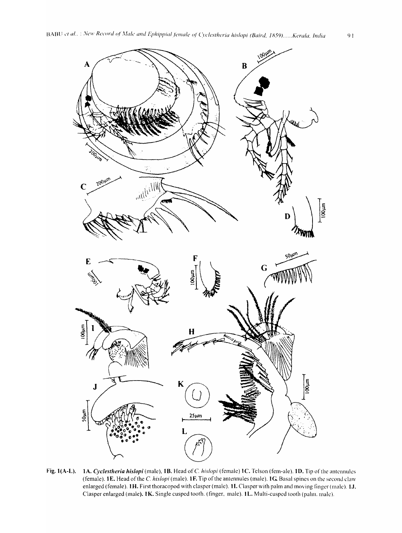

Fig. 1(A-L). 1A. *Cyclestheria hislopi* (male), 1B. Head of *C. hislopi* (female) 1C. Telson (fem-ale). 1D. Tip of the antennules (female). **IE.** Head of the C *hislopi* (male). **IF.** Tip of the antennules (male). **IG** Basal spines on the second claw enlarged (female). **tH.** First thoracopod with clasper (male). **11.** Clasper with palm and moving finger (male). **IJ.**  Clasper enlarged (male). **IK.** Single cusped tooth. (finger, male). **IL.** Multi-cusped tooth (palm. male).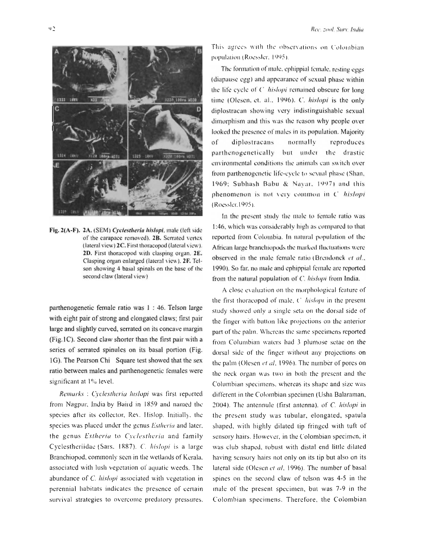

Fig. 2(A-F). 2A. (SEM) Cyclestheria hislopi, male (left side of the carapace removed). 2B. Serrated vertex (lateral view) 2C. First thoracopod (lateral view). 2D. First thoracopod with clasping organ. 2E. Clasping organ enlarged (lateral view). 2F. Telson showing 4 basal spinals on the base of the second claw (lateral view)

parthenogenetic female ratio was 1 : 46. Telson large with eight pair of strong and elongated claws; first pair large and slightly curved, serrated on its concave margin (Fig.1C). Second claw shorter than the first pair with a series of serrated spinules on its basal portion (Fig. 1G). The Pearson Chi Square test showed that the sex ratio between males and parthenogenetic females were significant at 1% level.

Remarks : Cyclestheria hislopi was first reported from Nagpur, India by Band in 1859 and named the species after its collector, Rev. Hislop. Initially, the species was placed under the genus Estheria and later, the genus Estheria to Cyclestheria and family Cyclestheriidae (Sars. 1887). C. hislopi is a large Branchiopod, commonly seen in the wetlands of Kerala, associated with lush vegetation of aquatic weeds. The abundance of  $C$ . *histopi* associated with vegetation in perennial habitats indicates the presence of certain survival strategies to overcome predatory pressures.

This agrees with the observations on Colombian population (Roessler, 1995).

The formation of male, ephippial female, resting eggs (diapause egg) and appearance of sexual phase within the life eyele of C *histopi* remained obscure for long time (Olesen, et. al., 1996). C. hislopi is the only diplostracan showing very indistinguishable sexual dimorphism and this was the reason why people over looked the presence of males in its population. Majority  $\sigma$ f diplostracans normally reproduces parthenogenetically but under the drastic environmental conditions the animals can switch over from parthenogenetic life-cycle to sexual phase (Shan, 1969; Subhash Babu & Nayar, 1997) and this phenomenon is not very common in C hislopi (Roessler, 1995).

In the present study the male to female ratio was 1:46, which was considerably high as compared to that reported from Colombia. In natural population of the African large branchiopods the marked fluctuations were observed in the male female ratio (Brendonck et al., 1990). So far, no male and ephippial female are reported from the natural population of C. hislopi from India.

A close evaluation on the morphological feature of the first thoracopod of male, C *histopi* in the present study showed only a single seta on the dorsal side of the finger with button like projections on the anterior part of the palm. Whereas the same specimens reported from Columbian waters had 3 plumose setae on the dorsal side of the finger without any projections on the palm (Olesen et al. 1996). The number of pores on the neck organ was two in both the present and the Columbian specimens, whereas its shape and size was different in the Colombian specimen (Usha Balaraman, 2004). The antennule (first antenna), of C. hislopi in the present study was tubular, elongated, spatula shaped, with highly dilated tip fringed with tuft of sensory hairs. However, in the Colombian specimen, it was club shaped, robust with distal end little dilated having sensory hairs not only on its tip but also on its lateral side (Olesen et al. 1996). The number of basal spines on the second claw of telson was 4-5 in the inale of the present specimen, but was 7-9 in the Colombian specimens. Therefore, the Colombian